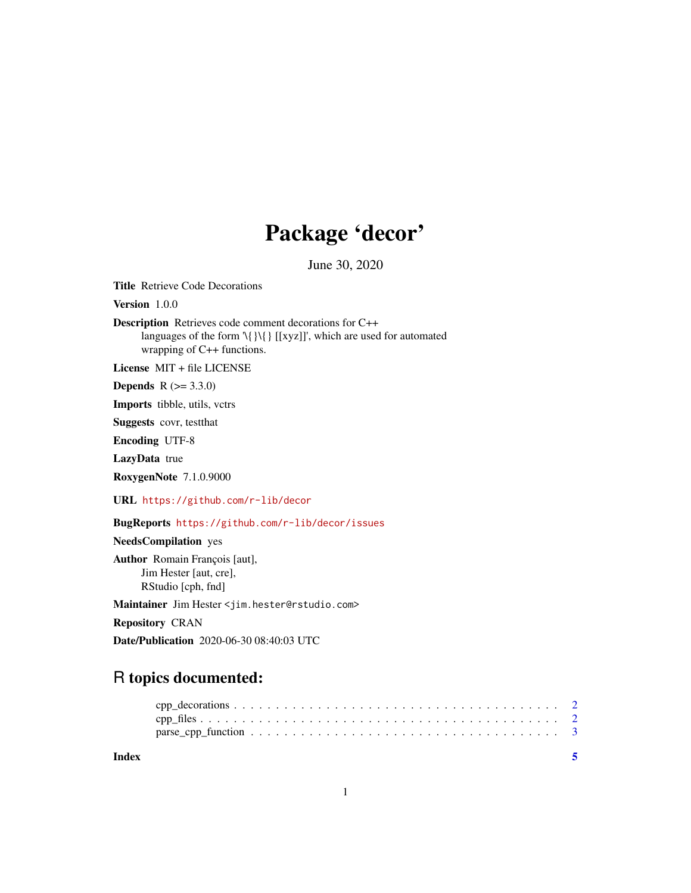# Package 'decor'

June 30, 2020

Title Retrieve Code Decorations

Version 1.0.0

Description Retrieves code comment decorations for C++ languages of the form '\{}\{} [[xyz]]', which are used for automated wrapping of C++ functions.

License MIT + file LICENSE

**Depends** R  $(>= 3.3.0)$ 

Imports tibble, utils, vctrs

Suggests covr, testthat

Encoding UTF-8

LazyData true

RoxygenNote 7.1.0.9000

URL <https://github.com/r-lib/decor>

BugReports <https://github.com/r-lib/decor/issues>

NeedsCompilation yes

Author Romain François [aut], Jim Hester [aut, cre], RStudio [cph, fnd]

Maintainer Jim Hester <jim.hester@rstudio.com>

Repository CRAN

Date/Publication 2020-06-30 08:40:03 UTC

## R topics documented:

**Index** [5](#page-4-0). The second state of the second state of the second state of the second state of the second state of the second state of the second state of the second state of the second state of the second state of the second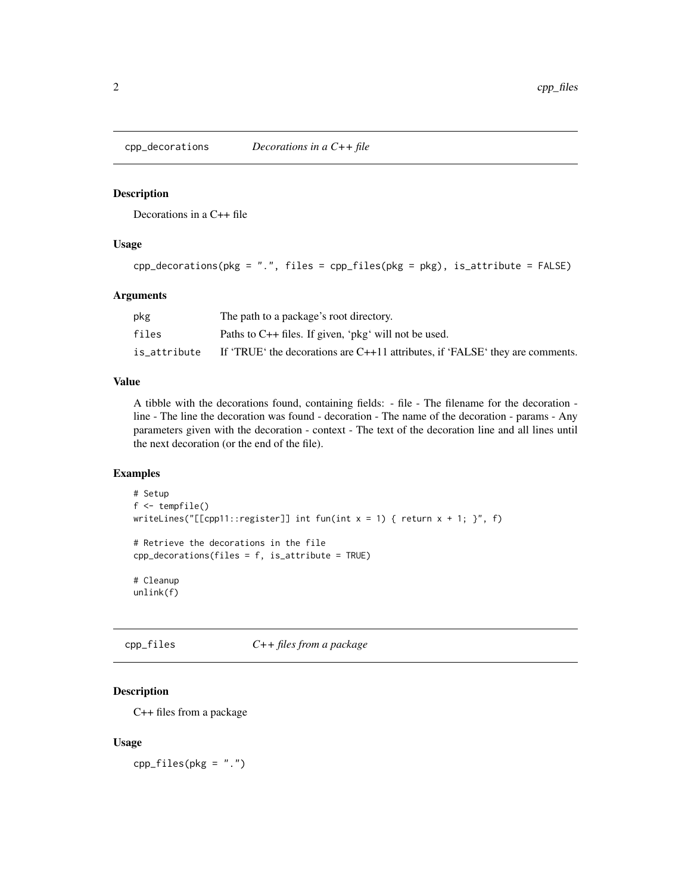<span id="page-1-0"></span>

#### Description

Decorations in a C++ file

#### Usage

```
cpp\_decontains(pkg = ".", files = cpp_files(pkg = pkg), is_attribute = FALSE)
```
#### Arguments

| pkg          | The path to a package's root directory.                                         |
|--------------|---------------------------------------------------------------------------------|
| files        | Paths to $C_{++}$ files. If given, 'pkg' will not be used.                      |
| is_attribute | If 'TRUE' the decorations are $C++11$ attributes, if 'FALSE' they are comments. |

#### Value

A tibble with the decorations found, containing fields: - file - The filename for the decoration line - The line the decoration was found - decoration - The name of the decoration - params - Any parameters given with the decoration - context - The text of the decoration line and all lines until the next decoration (or the end of the file).

#### Examples

```
# Setup
f <- tempfile()
writeLines("[[cpp11::register]] int fun(int x = 1) { return x + 1; }", f)
# Retrieve the decorations in the file
cpp_decorations(files = f, is_attribute = TRUE)
# Cleanup
unlink(f)
```
cpp\_files *C++ files from a package*

#### Description

C++ files from a package

#### Usage

 $cpp_files(pkg = "."')$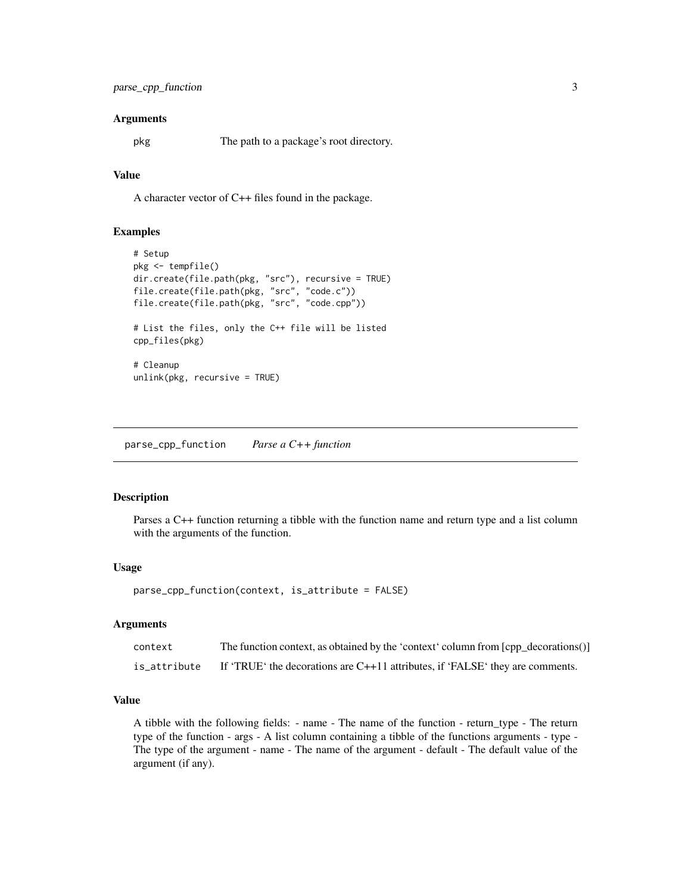#### <span id="page-2-0"></span>Arguments

pkg The path to a package's root directory.

#### Value

A character vector of C++ files found in the package.

#### Examples

```
# Setup
pkg <- tempfile()
dir.create(file.path(pkg, "src"), recursive = TRUE)
file.create(file.path(pkg, "src", "code.c"))
file.create(file.path(pkg, "src", "code.cpp"))
# List the files, only the C++ file will be listed
cpp_files(pkg)
# Cleanup
unlink(pkg, recursive = TRUE)
```
parse\_cpp\_function *Parse a C++ function*

#### Description

Parses a C++ function returning a tibble with the function name and return type and a list column with the arguments of the function.

#### Usage

parse\_cpp\_function(context, is\_attribute = FALSE)

#### Arguments

| context      | The function context, as obtained by the 'context' column from [cpp_decorations()] |
|--------------|------------------------------------------------------------------------------------|
| is_attribute | If 'TRUE' the decorations are $C++11$ attributes, if 'FALSE' they are comments.    |

#### Value

A tibble with the following fields: - name - The name of the function - return\_type - The return type of the function - args - A list column containing a tibble of the functions arguments - type - The type of the argument - name - The name of the argument - default - The default value of the argument (if any).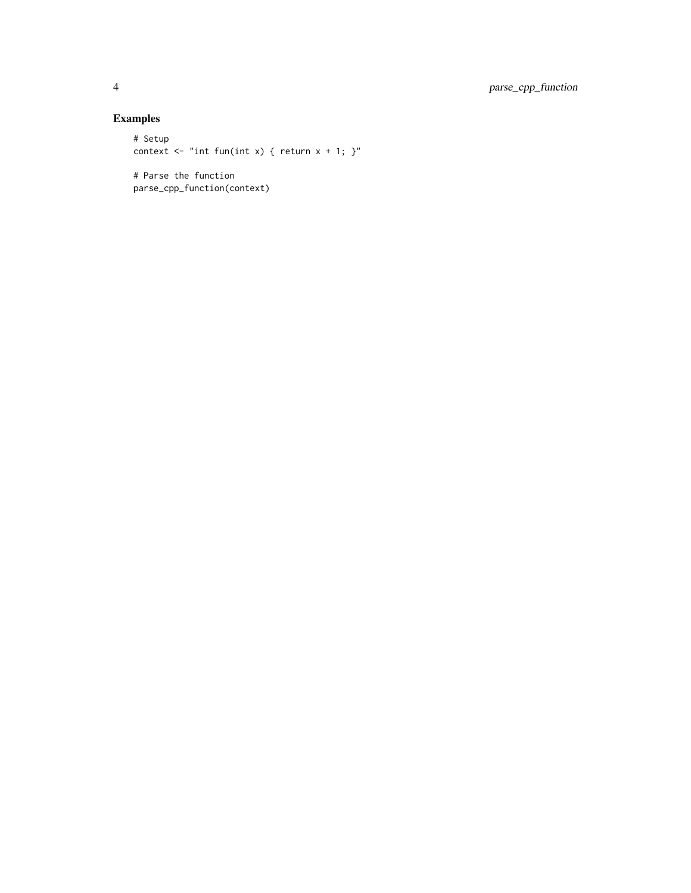### Examples

```
# Setup
context \leq "int fun(int x) { return x + 1; }"
# Parse the function
parse_cpp_function(context)
```